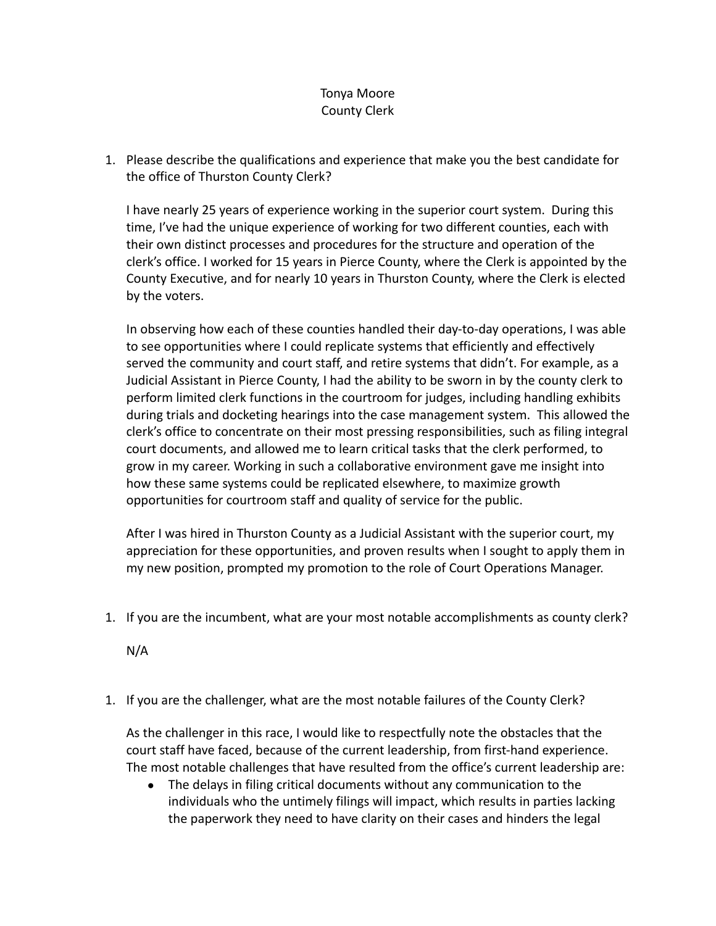## Tonya Moore County Clerk

1. Please describe the qualifications and experience that make you the best candidate for the office of Thurston County Clerk?

I have nearly 25 years of experience working in the superior court system. During this time, I've had the unique experience of working for two different counties, each with their own distinct processes and procedures for the structure and operation of the clerk's office. I worked for 15 years in Pierce County, where the Clerk is appointed by the County Executive, and for nearly 10 years in Thurston County, where the Clerk is elected by the voters.

In observing how each of these counties handled their day-to-day operations, I was able to see opportunities where I could replicate systems that efficiently and effectively served the community and court staff, and retire systems that didn't. For example, as a Judicial Assistant in Pierce County, I had the ability to be sworn in by the county clerk to perform limited clerk functions in the courtroom for judges, including handling exhibits during trials and docketing hearings into the case management system. This allowed the clerk's office to concentrate on their most pressing responsibilities, such as filing integral court documents, and allowed me to learn critical tasks that the clerk performed, to grow in my career. Working in such a collaborative environment gave me insight into how these same systems could be replicated elsewhere, to maximize growth opportunities for courtroom staff and quality of service for the public.

After I was hired in Thurston County as a Judicial Assistant with the superior court, my appreciation for these opportunities, and proven results when I sought to apply them in my new position, prompted my promotion to the role of Court Operations Manager.

1. If you are the incumbent, what are your most notable accomplishments as county clerk?

N/A

1. If you are the challenger, what are the most notable failures of the County Clerk?

As the challenger in this race, I would like to respectfully note the obstacles that the court staff have faced, because of the current leadership, from first-hand experience. The most notable challenges that have resulted from the office's current leadership are:

● The delays in filing critical documents without any communication to the individuals who the untimely filings will impact, which results in parties lacking the paperwork they need to have clarity on their cases and hinders the legal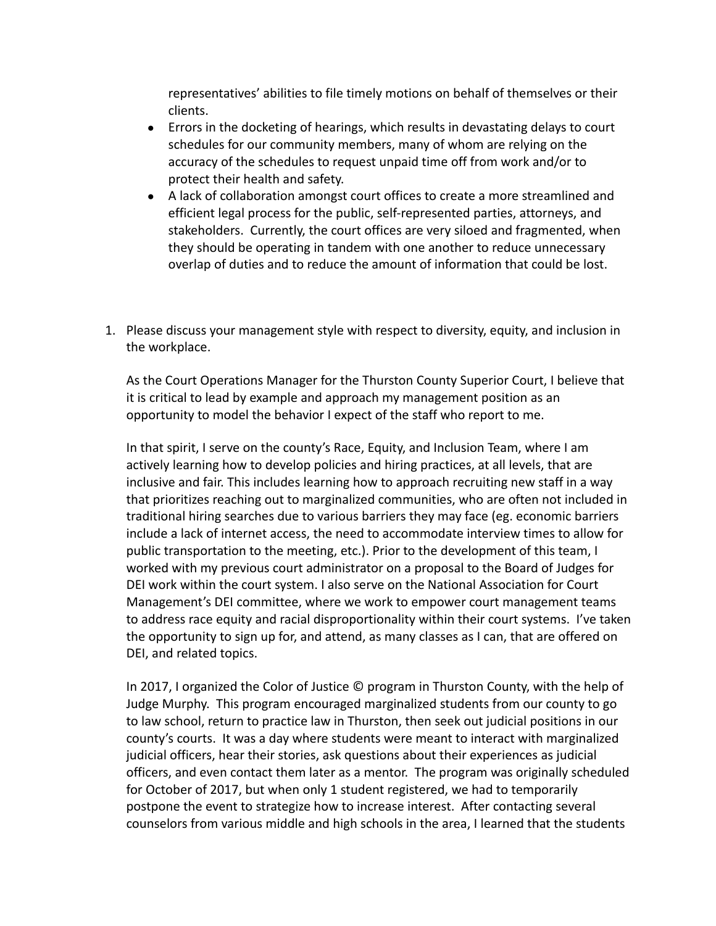representatives' abilities to file timely motions on behalf of themselves or their clients.

- Errors in the docketing of hearings, which results in devastating delays to court schedules for our community members, many of whom are relying on the accuracy of the schedules to request unpaid time off from work and/or to protect their health and safety.
- A lack of collaboration amongst court offices to create a more streamlined and efficient legal process for the public, self-represented parties, attorneys, and stakeholders. Currently, the court offices are very siloed and fragmented, when they should be operating in tandem with one another to reduce unnecessary overlap of duties and to reduce the amount of information that could be lost.
- 1. Please discuss your management style with respect to diversity, equity, and inclusion in the workplace.

As the Court Operations Manager for the Thurston County Superior Court, I believe that it is critical to lead by example and approach my management position as an opportunity to model the behavior I expect of the staff who report to me.

In that spirit, I serve on the county's Race, Equity, and Inclusion Team, where I am actively learning how to develop policies and hiring practices, at all levels, that are inclusive and fair. This includes learning how to approach recruiting new staff in a way that prioritizes reaching out to marginalized communities, who are often not included in traditional hiring searches due to various barriers they may face (eg. economic barriers include a lack of internet access, the need to accommodate interview times to allow for public transportation to the meeting, etc.). Prior to the development of this team, I worked with my previous court administrator on a proposal to the Board of Judges for DEI work within the court system. I also serve on the National Association for Court Management's DEI committee, where we work to empower court management teams to address race equity and racial disproportionality within their court systems. I've taken the opportunity to sign up for, and attend, as many classes as I can, that are offered on DEI, and related topics.

In 2017, I organized the Color of Justice © program in Thurston County, with the help of Judge Murphy. This program encouraged marginalized students from our county to go to law school, return to practice law in Thurston, then seek out judicial positions in our county's courts. It was a day where students were meant to interact with marginalized judicial officers, hear their stories, ask questions about their experiences as judicial officers, and even contact them later as a mentor. The program was originally scheduled for October of 2017, but when only 1 student registered, we had to temporarily postpone the event to strategize how to increase interest. After contacting several counselors from various middle and high schools in the area, I learned that the students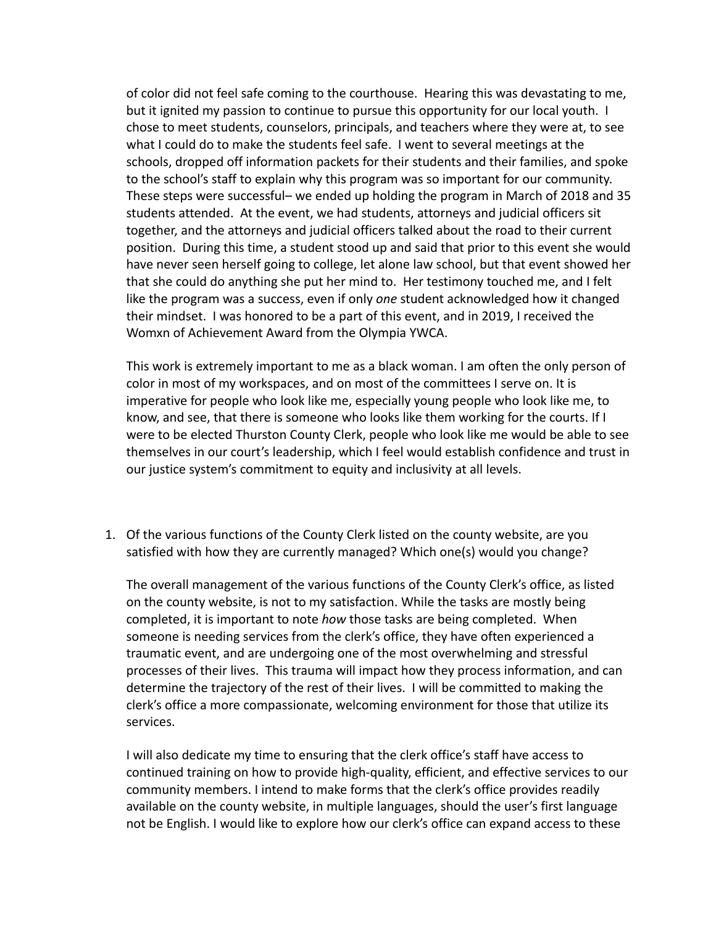of color did not feel safe coming to the courthouse. Hearing this was devastating to me, but it ignited my passion to continue to pursue this opportunity for our local youth. I chose to meet students, counselors, principals, and teachers where they were at, to see what I could do to make the students feel safe. I went to several meetings at the schools, dropped off information packets for their students and their families, and spoke to the school's staff to explain why this program was so important for our community. These steps were successful– we ended up holding the program in March of 2018 and 35 students attended. At the event, we had students, attorneys and judicial officers sit together, and the attorneys and judicial officers talked about the road to their current position. During this time, a student stood up and said that prior to this event she would have never seen herself going to college, let alone law school, but that event showed her that she could do anything she put her mind to. Her testimony touched me, and I felt like the program was a success, even if only *one* student acknowledged how it changed their mindset. I was honored to be a part of this event, and in 2019, I received the Womxn of Achievement Award from the Olympia YWCA.

This work is extremely important to me as a black woman. I am often the only person of color in most of my workspaces, and on most of the committees I serve on. It is imperative for people who look like me, especially young people who look like me, to know, and see, that there is someone who looks like them working for the courts. If I were to be elected Thurston County Clerk, people who look like me would be able to see themselves in our court's leadership, which I feel would establish confidence and trust in our justice system's commitment to equity and inclusivity at all levels.

1. Of the various functions of the County Clerk listed on the county website, are you satisfied with how they are currently managed? Which one(s) would you change?

The overall management of the various functions of the County Clerk's office, as listed on the county website, is not to my satisfaction. While the tasks are mostly being completed, it is important to note *how* those tasks are being completed. When someone is needing services from the clerk's office, they have often experienced a traumatic event, and are undergoing one of the most overwhelming and stressful processes of their lives. This trauma will impact how they process information, and can determine the trajectory of the rest of their lives. I will be committed to making the clerk's office a more compassionate, welcoming environment for those that utilize its services.

I will also dedicate my time to ensuring that the clerk office's staff have access to continued training on how to provide high-quality, efficient, and effective services to our community members. I intend to make forms that the clerk's office provides readily available on the county website, in multiple languages, should the user's first language not be English. I would like to explore how our clerk's office can expand access to these